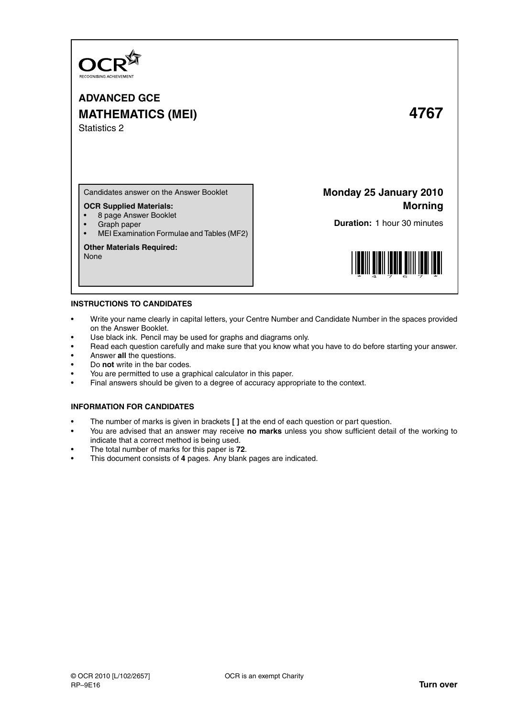

# **ADVANCED GCE MATHEMATICS (MEI) 4767** Statistics 2

Candidates answer on the Answer Booklet

## **OCR Supplied Materials:**

- 8 page Answer Booklet
- Graph paper
- MEI Examination Formulae and Tables (MF2)

#### **Other Materials Required:**

None

**Monday 25 January 2010 Morning**

**Duration:** 1 hour 30 minutes



#### **INSTRUCTIONS TO CANDIDATES**

- Write your name clearly in capital letters, your Centre Number and Candidate Number in the spaces provided on the Answer Booklet.
- Use black ink. Pencil may be used for graphs and diagrams only.
- Read each question carefully and make sure that you know what you have to do before starting your answer.
- Answer **all** the questions.
- Do **not** write in the bar codes.
- You are permitted to use a graphical calculator in this paper.
- Final answers should be given to a degree of accuracy appropriate to the context.

### **INFORMATION FOR CANDIDATES**

- The number of marks is given in brackets **[ ]** at the end of each question or part question.
- You are advised that an answer may receive **no marks** unless you show sufficient detail of the working to indicate that a correct method is being used.
- The total number of marks for this paper is **72**.
- This document consists of **4** pages. Any blank pages are indicated.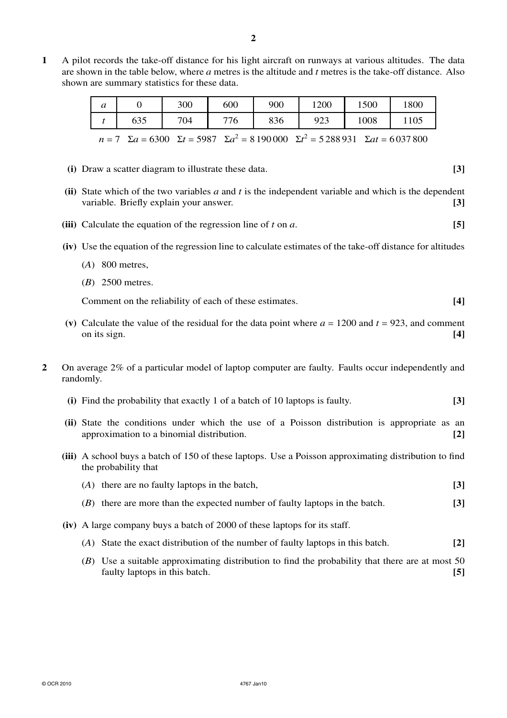**1** A pilot records the take-off distance for his light aircraft on runways at various altitudes. The data are shown in the table below, where *a* metres is the altitude and *t* metres is the take-off distance. Also shown are summary statistics for these data.

| $\boldsymbol{a}$                                                                                                |     | 300 | 600 | 900 | 1200 | 1500 | 1800 |  |
|-----------------------------------------------------------------------------------------------------------------|-----|-----|-----|-----|------|------|------|--|
|                                                                                                                 | 635 | 704 | 776 | 836 | 923  | 1008 | 1105 |  |
| $n = 7$ $\Sigma a = 6300$ $\Sigma t = 5987$ $\Sigma a^2 = 8190000$ $\Sigma t^2 = 5288931$ $\Sigma at = 6037800$ |     |     |     |     |      |      |      |  |

- **(i)** Draw a scatter diagram to illustrate these data. **[3]**
- **(ii)** State which of the two variables *a* and *t* is the independent variable and which is the dependent variable. Briefly explain your answer. **[3]**
- **(iii)** Calculate the equation of the regression line of *t* on *a*. **[5]**
- **(iv)** Use the equation of the regression line to calculate estimates of the take-off distance for altitudes
	- (*A*) 800 metres,
	- (*B*) 2500 metres.

Comment on the reliability of each of these estimates. **[4]**

- (v) Calculate the value of the residual for the data point where  $a = 1200$  and  $t = 923$ , and comment on its sign. **[4]**
- **2** On average 2% of a particular model of laptop computer are faulty. Faults occur independently and randomly.
	- **(i)** Find the probability that exactly 1 of a batch of 10 laptops is faulty. **[3]**
	- **(ii)** State the conditions under which the use of a Poisson distribution is appropriate as an approximation to a binomial distribution. **[2]**
	- **(iii)** A school buys a batch of 150 of these laptops. Use a Poisson approximating distribution to find the probability that
		- (*A*) there are no faulty laptops in the batch, **[3]**
		- (*B*) there are more than the expected number of faulty laptops in the batch. **[3]**
	- **(iv)** A large company buys a batch of 2000 of these laptops for its staff.
		- (*A*) State the exact distribution of the number of faulty laptops in this batch. **[2]**
		- (*B*) Use a suitable approximating distribution to find the probability that there are at most 50 faulty laptops in this batch. **[5]**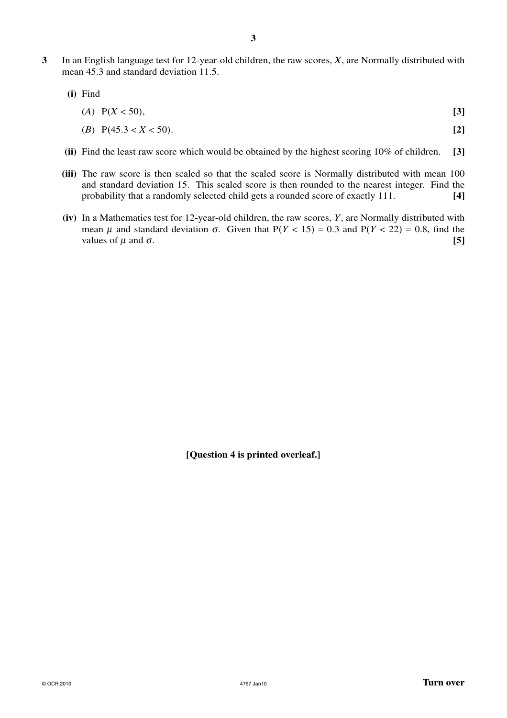- **3** In an English language test for 12-year-old children, the raw scores, *X*, are Normally distributed with mean 45.3 and standard deviation 11.5.
	- **(i)** Find

$$
(A) \quad P(X < 50), \tag{3}
$$

$$
(B) \ \ P(45.3 < X < 50). \tag{2}
$$

- **(ii)** Find the least raw score which would be obtained by the highest scoring 10% of children. **[3]**
- **(iii)** The raw score is then scaled so that the scaled score is Normally distributed with mean 100 and standard deviation 15. This scaled score is then rounded to the nearest integer. Find the probability that a randomly selected child gets a rounded score of exactly 111. **[4]**
- **(iv)** In a Mathematics test for 12-year-old children, the raw scores, *Y*, are Normally distributed with mean  $\mu$  and standard deviation  $\sigma$ . Given that  $P(Y < 15) = 0.3$  and  $P(Y < 22) = 0.8$ , find the values of  $\mu$  and  $\sigma$ . **[5]**

**[Question 4 is printed overleaf.]**